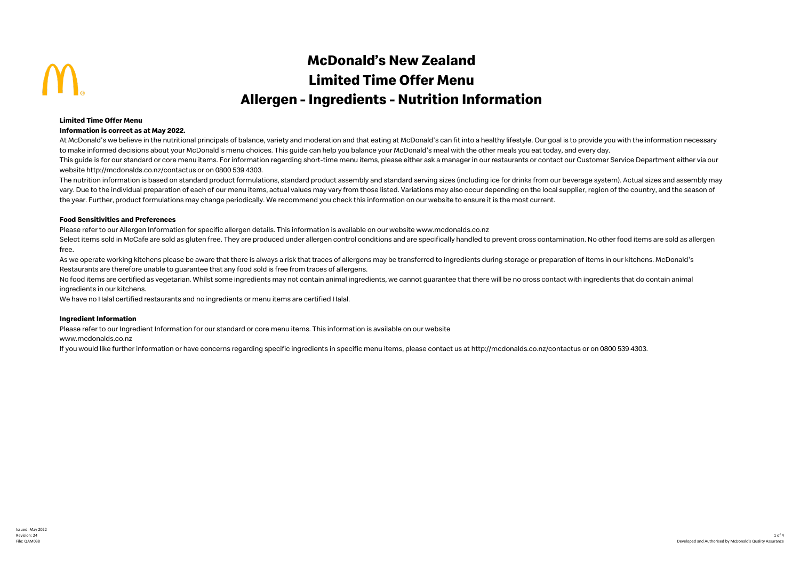# **McDonald's New Zealand Limited Time Offer Menu Allergen - Ingredients - Nutrition Information**

#### **Limited Time Offer Menu**

#### **Information is correct as at May 2022.**

At McDonald's we believe in the nutritional principals of balance, variety and moderation and that eating at McDonald's can fit into a healthy lifestyle. Our goal is to provide you with the information necessary to make informed decisions about your McDonald's menu choices. This guide can help you balance your McDonald's meal with the other meals you eat today, and every day.

This quide is for our standard or core menu items. For information regarding short-time menu items, please either ask a manager in our restaurants or contact our Customer Service Department either via our website http://mcdonalds.co.nz/contactus or on 0800 539 4303.

The nutrition information is based on standard product formulations, standard product assembly and standard serving sizes (including ice for drinks from our beverage system). Actual sizes and assembly may vary. Due to the individual preparation of each of our menu items, actual values may vary from those listed. Variations may also occur depending on the local supplier, region of the country, and the season of the year. Further, product formulations may change periodically. We recommend you check this information on our website to ensure it is the most current.

#### **Food Sensitivities and Preferences**

Please refer to our Allergen Information for specific allergen details. This information is available on our website www.mcdonalds.co.nz

Select items sold in McCafe are sold as gluten free. They are produced under allergen control conditions and are specifically handled to prevent cross contamination. No other food items are sold as allergen free.

As we operate working kitchens please be aware that there is always a risk that traces of allergens may be transferred to ingredients during storage or preparation of items in our kitchens. McDonald's Restaurants are therefore unable to guarantee that any food sold is free from traces of allergens.

No food items are certified as vegetarian. Whilst some ingredients may not contain animal ingredients, we cannot guarantee that there will be no cross contact with ingredients that do contain animal ingredients in our kitchens.

We have no Halal certified restaurants and no ingredients or menu items are certified Halal.

#### **Ingredient Information**

Please refer to our Ingredient Information for our standard or core menu items. This information is available on our website

www.mcdonalds.co.nz

If you would like further information or have concerns regarding specific ingredients in specific menu items, please contact us at http://mcdonalds.co.nz/contactus or on 0800 539 4303.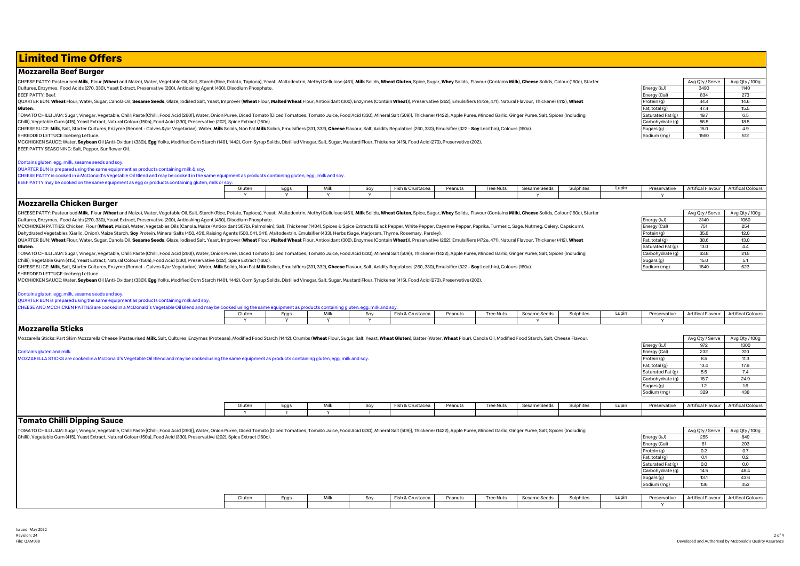## **Limited Time Offers**

#### **Mozzarella Beef Burger**

CHEESE PATTY: Pasteurised Milk, Flour (Wheat and Maize), Water, Vegetable Oil, Salt, Starch (Rice, Potato, Tapioca), Yeast, Maltodextrin, Methyl Cellulose (461), Milk Solids, Wheat Gluten, Spice, Sugar, Whey Solids, Flavou Cultures, Enzymes, Food Acids (270, 330), Yeast Extract, Preservative (200), Anticaking Agent (460), Disodium Phosphate.

BEEF PATTY: Beef.

OUARTER BUN: Wheat Flour, Water, Sugar, Canola Oil, Sesame Seeds, Glaze, Iodised Salt, Yeast, Improver (Wheat Flour, Malted Wheat Flour, Antioxidant (300), Enzymes (Contain Wheat)), Preservative (262), Emulsifiers (4720, 4 **Gluten**.

TOMATO CHILLI JAM: Sugar, Vinegar, Vegetable, Chilli Paste [Chilli, Food Acid (260)], Water, Onion Puree, Diced Tomato [Diced Tomatoss, Tomato Juice, Food Acid (330), Mineral Salt (509)], Thickener (1422), Apple Puree, Min Chilli), Vegetable Gum (415), Yeast Extract, Natural Colour (150a), Food Acid (330), Preservative (202), Spice Extract (160c).

CHEESE SLICE: Milk, Salt, Starter Cultures, Enzyme (Rennet - Calves &/or Vegetarian), Water, Milk Solids, Non Fat Milk Solids, Emulsifiers (331, 332), Cheese Flavour, Salt, Acidity Regulators (260, 330), Emulsifier (322 - SHREDDED LETTUCE: Iceberg Lettuce.

MCCHICKEN SAUCE: Water, Soybean Oil [Anti-Oxidant (330)], Egg Yolks, Modified Corn Starch (1401, 1442), Corn Syrup Solids, Distilled Vinegar, Salt, Sugar, Mustard Flour, Thickener (415), Food Acid (270), Preservative (202) BEEF PATTY SEASONING: Salt, Pepper, Sunflower Oil.

#### Contains gluten, egg, milk, sesame seeds and soy.

| QUARTER BUN is prepared using the same equipment as products containing milk & soy.<br>CHEESE PATTY is cooked in a McDonald's Vegetable Oil Blend and may be cooked in the same equipment as products containing gluten, egg, milk and soy. |             |                      |                      |          |                  |         |                  |              |           |       |                   |                          |                          |
|---------------------------------------------------------------------------------------------------------------------------------------------------------------------------------------------------------------------------------------------|-------------|----------------------|----------------------|----------|------------------|---------|------------------|--------------|-----------|-------|-------------------|--------------------------|--------------------------|
| BEEF PATTY may be cooked on the same equipment as egg or products containing gluten, milk or soy                                                                                                                                            |             |                      |                      |          |                  |         |                  |              |           |       |                   |                          |                          |
|                                                                                                                                                                                                                                             | Gluten      | Eggs                 | Milk                 | Soy      | Fish & Crustacea | Peanuts | <b>Tree Nuts</b> | Sesame Seeds | Sulphites | Lupin | Preservative      | Artifical Flavour        | <b>Artifical Colours</b> |
|                                                                                                                                                                                                                                             | <b>V</b>    | Y                    | Y                    | Y        |                  |         |                  | v            |           |       |                   |                          |                          |
| <b>Mozzarella Chicken Burger</b>                                                                                                                                                                                                            |             |                      |                      |          |                  |         |                  |              |           |       |                   |                          |                          |
| CHEESE PATTY: Pasteurised Milk, Flour (Wheat and Maize), Water, Vegetable Oil, Salt, Starch (Rice, Potato, Tapioca), Yeast, Maltodextrin, Methyl Cellulose (461), Milk Solids, Wheat Gluten, Spige, Sugar, Whey Solids, Flavou              |             |                      |                      |          |                  |         |                  |              |           |       |                   | Avg Qty / Serve          | Avg Qty / 100g           |
| Cultures, Enzymes, Food Acids (270, 330), Yeast Extract, Preservative (200), Anticaking Agent (460), Disodium Phosphate.                                                                                                                    |             |                      |                      |          |                  |         |                  |              |           |       | Energy (kJ)       | 3140                     | 1060                     |
| MCCHICKEN PATTIES: Chicken, Flour (Wheat, Maize), Water, Vegetables Oils (Canola, Maize (Antioxidant 307b), Palmolein), Salt, Thickener (1404), Spices & Spice Extracts (Black Pepper, White Pepper, Cayenne Pepper, Paprika,               |             |                      |                      |          |                  |         |                  |              |           |       | Energy (Cal)      | 751                      | 254                      |
| Dehydrated Vegetables (Garlic, Onion), Maize Starch, Soy Protein, Mineral Salts (450, 451), Raising Agents (500, 541, 341), Maltodextrin, Emulsifier (433), Herbs (Sage, Marjoram, Thyme, Rosemary, Parsley)                                |             |                      |                      |          |                  |         |                  |              |           |       | Protein (g)       | 35.6                     | 12.0                     |
| QUARTER BUN: Wheat Flour, Water, Sugar, Canola Oil, Sesame Seeds, Glaze, Iodised Salt, Yeast, Improver (Wheat Flour, Malted Wheat Flour, Antioxidant (300), Enzymes (Contain Wheat)), Preservative (262), Emulsifiers (472e, 4              |             |                      |                      |          |                  |         |                  |              |           |       | Fat. total (g)    | 38.6                     | 13.0                     |
| Gluten.                                                                                                                                                                                                                                     |             |                      |                      |          |                  |         |                  |              |           |       | Saturated Fat (g) | 13.0                     | 4.4                      |
| TOMATO CHILLI JAM: Sugar, Vinegar, Vegetable, Chilli Paste (Chilli, Food Acid (260)), Water, Onion Puree, Diced Tomato (Diced Tomatoes, Tomato Juice, Food Acid (330), Mineral Salt (509)), Thickener (1422), Apple Puree, Min              |             |                      |                      |          |                  |         |                  |              |           |       | Carbohydrate (g)  | 63.8                     | 21.5                     |
| Chilli), Vegetable Gum (415), Yeast Extract, Natural Colour (150a), Food Acid (330), Preservative (202), Spice Extract (160c)                                                                                                               |             |                      |                      |          |                  |         |                  |              |           |       | Sugars (g)        | 15.0                     | 5.1                      |
| CHEESE SLICE: Milk, Salt, Starter Cultures, Enzyme (Rennet - Calves &/or Vegetarian), Water, Milk Solids, Non Fat Milk Solids, Emulsifiers (331, 332), Cheese Flavour, Salt, Acidity Regulators (260, 330), Emulsifier (322 -               |             |                      |                      |          |                  |         |                  |              |           |       | Sodium (mg)       | 1840                     | 623                      |
| SHREDDED LETTUCE: Iceberg Lettuce.                                                                                                                                                                                                          |             |                      |                      |          |                  |         |                  |              |           |       |                   |                          |                          |
| MCCHICKEN SAUCE: Water, Soybean Oil [Anti-Oxidant (330)], Egg Yolks, Modified Corn Starch (1401, 1442), Corn Syrup Solids, Distilled Vinegar, Salt, Sugar, Mustard Flour, Thickener (415), Food Acid (270), Preservative (202)              |             |                      |                      |          |                  |         |                  |              |           |       |                   |                          |                          |
|                                                                                                                                                                                                                                             |             |                      |                      |          |                  |         |                  |              |           |       |                   |                          |                          |
| Contains gluten, egg, milk, sesame seeds and soy.                                                                                                                                                                                           |             |                      |                      |          |                  |         |                  |              |           |       |                   |                          |                          |
| QUARTER BUN is prepared using the same equipment as products containing milk and soy.                                                                                                                                                       |             |                      |                      |          |                  |         |                  |              |           |       |                   |                          |                          |
| CHEESE AND MCCHICKEN PATTIES are cooked in a McDonald's Vegetable Oil Blend and may be cooked using the same equipment as products containing gluten, egg, milk and soy.                                                                    | Gluten      | Eggs                 | Milk                 | Soy      | Fish & Crustacea | Peanuts | <b>Tree Nuts</b> | Sesame Seeds | Sulphites | Lupin | Preservative      | <b>Artifical Flavour</b> | <b>Artifical Colours</b> |
|                                                                                                                                                                                                                                             | Y           | Y                    | Y                    | Y        |                  |         |                  | $\checkmark$ |           |       | $\mathbf{v}$      |                          |                          |
| <b>Mozzarella Sticks</b>                                                                                                                                                                                                                    |             |                      |                      |          |                  |         |                  |              |           |       |                   |                          |                          |
|                                                                                                                                                                                                                                             |             |                      |                      |          |                  |         |                  |              |           |       |                   |                          |                          |
| Mozzarella Sticks: Part Skim Mozzarella Cheese (Pasteurised Milk, Salt, Cultures, Enzymes (Protease), Modified Food Starch (1442), Crumbs (Wheat Flour, Sugar, Salt, Wheat Gluten), Batter (Water, Wheat Flour), Canola Oil, M              |             |                      |                      |          |                  |         |                  |              |           |       |                   | Avg Qty / Serve          | Avg Qty / 100g           |
|                                                                                                                                                                                                                                             |             |                      |                      |          |                  |         |                  |              |           |       | Energy (kJ)       | 972                      | 1300                     |
| Contains gluten and milk.                                                                                                                                                                                                                   |             |                      |                      |          |                  |         |                  |              |           |       | Energy (Cal)      | 232                      | 310                      |
| MOZZARELLA STICKS are cooked in a McDonald's Vegetable Oil Blend and may be cooked using the same equipment as products containing gluten, egg, milk and soy.                                                                               |             |                      |                      |          |                  |         |                  |              |           |       | Protein (g)       | 8.5                      | 11.3                     |
|                                                                                                                                                                                                                                             |             |                      |                      |          |                  |         |                  |              |           |       | Fat, total (g)    | 13.4                     | 17.9                     |
|                                                                                                                                                                                                                                             |             |                      |                      |          |                  |         |                  |              |           |       | Saturated Fat (g) | 5.5                      | 7.4                      |
|                                                                                                                                                                                                                                             |             |                      |                      |          |                  |         |                  |              |           |       | Carbohydrate (q)  | 18.7                     | 24.9                     |
|                                                                                                                                                                                                                                             |             |                      |                      |          |                  |         |                  |              |           |       | Sugars (g)        | 1.2                      | 1.6                      |
|                                                                                                                                                                                                                                             |             |                      |                      |          |                  |         |                  |              |           |       | Sodium (mg)       | 329                      | 438                      |
|                                                                                                                                                                                                                                             |             |                      |                      |          |                  |         |                  |              |           |       |                   |                          |                          |
|                                                                                                                                                                                                                                             | Gluten<br>Y | Eggs<br>$\mathsf{T}$ | Milk<br>$\mathsf{v}$ | Soy<br>T | Fish & Crustacea | Peanuts | <b>Tree Nuts</b> | Sesame Seeds | Sulphites | Lupin | Preservative      | Artifical Flavour        | <b>Artifical Colours</b> |
|                                                                                                                                                                                                                                             |             |                      |                      |          |                  |         |                  |              |           |       |                   |                          |                          |
| <b>Tomato Chilli Dipping Sauce</b>                                                                                                                                                                                                          |             |                      |                      |          |                  |         |                  |              |           |       |                   |                          |                          |
| TOMATO CHILLI JAM: Sugar, Vinegar, Vegetable, Chilli Paste [Chilli, Food Acid (260)], Water, Onion Puree, Diced Tomato [Diced Tomatoes, Tomato Juice, Food Acid (330), Mineral Salt (509)], Thickener (1422), Apple Puree, Min              |             |                      |                      |          |                  |         |                  |              |           |       |                   | Avg Qty / Serve          | Avg Qty / 100g           |
| Chilli), Vegetable Gum (415), Yeast Extract, Natural Colour (150a), Food Acid (330), Preservative (202), Spice Extract (160c)                                                                                                               |             |                      |                      |          |                  |         |                  |              |           |       | Energy (kJ)       | 255                      | 849                      |
|                                                                                                                                                                                                                                             |             |                      |                      |          |                  |         |                  |              |           |       | Energy (Cal)      | 61                       | 203                      |
|                                                                                                                                                                                                                                             |             |                      |                      |          |                  |         |                  |              |           |       | Protein (g)       | 0.2                      | 0.7                      |
|                                                                                                                                                                                                                                             |             |                      |                      |          |                  |         |                  |              |           |       | Fat, total (g)    | 0.1                      | 0.2                      |
|                                                                                                                                                                                                                                             |             |                      |                      |          |                  |         |                  |              |           |       | Saturated Fat (g) | 0.0                      | 0.0                      |
|                                                                                                                                                                                                                                             |             |                      |                      |          |                  |         |                  |              |           |       | Carbohydrate (g)  | 14.5                     | 48.4                     |
|                                                                                                                                                                                                                                             |             |                      |                      |          |                  |         |                  |              |           |       | Sugars (g)        | 13.1                     | 43.6                     |
|                                                                                                                                                                                                                                             |             |                      |                      |          |                  |         |                  |              |           |       |                   |                          |                          |
|                                                                                                                                                                                                                                             |             |                      |                      |          |                  |         |                  |              |           |       | Sodium (mg)       | 136                      | 453                      |
|                                                                                                                                                                                                                                             | Gluten      | Eggs                 | Milk                 | Soy      | Fish & Crustacea | Peanuts | <b>Tree Nuts</b> | Sesame Seeds | Sulphites | Lupin | Preservative      | Artifical Flavour        | <b>Artifical Colours</b> |

Y

|                   | Avg Qty / Serve | Avg Qty / 100g |  |  |  |  |  |  |
|-------------------|-----------------|----------------|--|--|--|--|--|--|
| Energy (kJ)       | 3490            | 1140           |  |  |  |  |  |  |
| Energy (Cal)      | 834             | 273            |  |  |  |  |  |  |
| Protein (g)       | 44.4            | 14.6           |  |  |  |  |  |  |
| Fat, total (g)    | 47.4            | 15.5           |  |  |  |  |  |  |
| Saturated Fat (g) | 19.7            | 6.5            |  |  |  |  |  |  |
| Carbohydrate (g)  | 56.5            | 18.5           |  |  |  |  |  |  |
| Sugars (g)        | 15.0            | 4.9            |  |  |  |  |  |  |
| Sodium (mg)       | 1560            | 512            |  |  |  |  |  |  |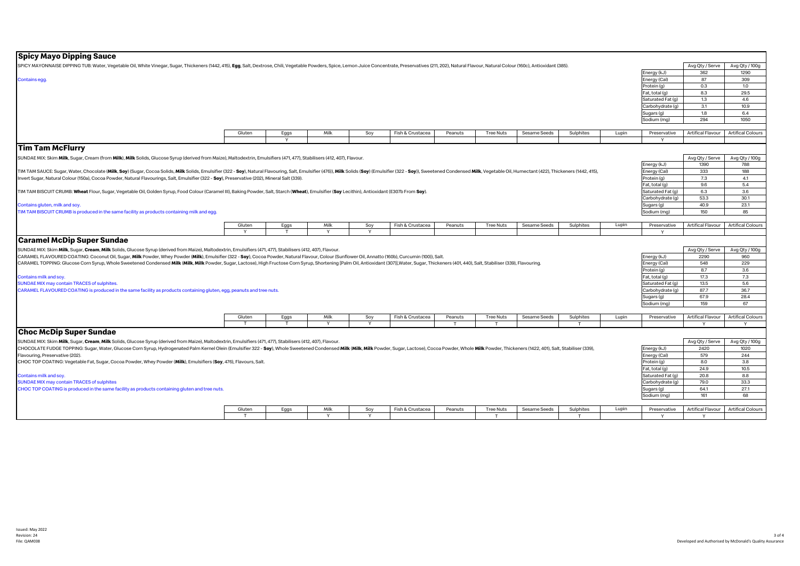### **Spicy Mayo Dipping Sauce**

| spicy mayo Dipping sauce                                                                                                                                                                                                       |                        |                      |              |                 |                  |              |                       |              |                |       |                   |                   |                               |
|--------------------------------------------------------------------------------------------------------------------------------------------------------------------------------------------------------------------------------|------------------------|----------------------|--------------|-----------------|------------------|--------------|-----------------------|--------------|----------------|-------|-------------------|-------------------|-------------------------------|
| SPICY MAYONNAISE DIPPING TUB: Water, Vegetable Oil, White Vinegar, Sugar, Thickeners (1442, 415), Egg, Salt, Dextrose, Chili, Vegetable Powders, Spice, Lemon Juice Concentrate, Preservatives (211, 202), Natural Flavour, Na |                        |                      |              |                 |                  |              |                       |              |                |       |                   | Avg Qty / Serve   | Avg Qty / 100g                |
|                                                                                                                                                                                                                                |                        |                      |              |                 |                  |              |                       |              |                |       | Energy (kJ)       | 362               | 1290                          |
| Contains egg.                                                                                                                                                                                                                  |                        |                      |              |                 |                  |              |                       |              |                |       | Energy (Cal)      | 87                | 309                           |
|                                                                                                                                                                                                                                |                        |                      |              |                 |                  |              |                       |              |                |       | Protein (g)       | 0.3               | 1.0                           |
|                                                                                                                                                                                                                                |                        |                      |              |                 |                  |              |                       |              |                |       | Fat, total (g)    | 8.3               | 29.5                          |
|                                                                                                                                                                                                                                |                        |                      |              |                 |                  |              |                       |              |                |       | Saturated Fat (g) | 1.3               | 4.6                           |
|                                                                                                                                                                                                                                |                        |                      |              |                 |                  |              |                       |              |                |       | Carbohydrate (q)  | 3.1               | 10.9                          |
|                                                                                                                                                                                                                                |                        |                      |              |                 |                  |              |                       |              |                |       | Sugars (g)        | 1.8               | 6.4                           |
|                                                                                                                                                                                                                                |                        |                      |              |                 |                  |              |                       |              |                |       | Sodium (mg)       | 294               | 1050                          |
|                                                                                                                                                                                                                                |                        |                      |              |                 |                  |              |                       |              |                |       |                   |                   |                               |
|                                                                                                                                                                                                                                | Gluten                 | Eggs                 | Milk         | Soy             | Fish & Crustacea | Peanuts      | <b>Tree Nuts</b>      | Sesame Seeds | Sulphites      | Lupin | Preservative      | Artifical Flavour | <b>Artifical Colours</b>      |
|                                                                                                                                                                                                                                |                        | Y                    |              |                 |                  |              |                       |              |                |       |                   |                   |                               |
| <b>Tim Tam McFlurry</b>                                                                                                                                                                                                        |                        |                      |              |                 |                  |              |                       |              |                |       |                   |                   |                               |
| SUNDAE MIX: Skim Milk, Sugar, Cream (from Milk), Milk Solids, Glucose Syrup (derived from Maize), Maltodextrin, Emulsifiers (471, 477), Stabilisers (412, 407), Flavour.                                                       |                        |                      |              |                 |                  |              |                       |              |                |       |                   | Avg Qty / Serve   | Avg Qty / 100g                |
|                                                                                                                                                                                                                                |                        |                      |              |                 |                  |              |                       |              |                |       | Energy (kJ)       | 1390              | 788                           |
| TIM TAM SAUCE: Sugar, Water, Chocolate (Milk, Soy) (Sugar, Cocoa Solids, Milk Solids, Emulsifier (322 - Soy), Natural Flavouring, Salt, Emulsifier (476)), Milk Solids (Soy) (Emulsifier (472 - Soy), Suetened Condensed Milk, |                        |                      |              |                 |                  |              |                       |              |                |       | Energy (Cal)      | 333               | 188                           |
| Invert Sugar, Natural Colour (150a), Cocoa Powder, Natural Flavourings, Salt, Emulsifier (322 - Soy), Preservative (202), Mineral Salt (339).                                                                                  |                        |                      |              |                 |                  |              |                       |              |                |       | Protein (g)       | 7.3               | 4.1                           |
|                                                                                                                                                                                                                                |                        |                      |              |                 |                  |              |                       |              |                |       | Fat, total (g)    | 9.6               | 5.4                           |
| TIM TAM BISCUIT CRUMB: Wheat Flour, Sugar, Vegetable Oil, Golden Syrup, Food Colour (Caramel III), Baking Powder, Salt, Starch (Wheat), Emulsifier (Soy Lecithin), Antioxidant (E307b From Soy).                               |                        |                      |              |                 |                  |              |                       |              |                |       | Saturated Fat (g) | 6.3               | 3.6                           |
|                                                                                                                                                                                                                                |                        |                      |              |                 |                  |              |                       |              |                |       | Carbohydrate (q)  | 53.3              | 30.1                          |
| Contains gluten, milk and soy.                                                                                                                                                                                                 |                        |                      |              |                 |                  |              |                       |              |                |       | Sugars (g)        | 40.9              | 23.1                          |
| TIM TAM BISCUIT CRUMB is produced in the same facility as products containing milk and egg                                                                                                                                     |                        |                      |              |                 |                  |              |                       |              |                |       | Sodium (mg)       | 150               | 85                            |
|                                                                                                                                                                                                                                |                        |                      |              |                 |                  |              |                       |              |                |       |                   |                   |                               |
|                                                                                                                                                                                                                                | Gluten                 | Eggs                 | Milk         | Soy             | Fish & Crustacea | Peanuts      | <b>Tree Nuts</b>      | Sesame Seeds | Sulphites      | Lupin | Preservative      | Artifical Flavour | <b>Artifical Colours</b>      |
|                                                                                                                                                                                                                                | Y                      | T                    | $\mathsf{v}$ | Y               |                  |              |                       |              |                |       | $\vee$            |                   |                               |
| <b>Caramel McDip Super Sundae</b>                                                                                                                                                                                              |                        |                      |              |                 |                  |              |                       |              |                |       |                   |                   |                               |
|                                                                                                                                                                                                                                |                        |                      |              |                 |                  |              |                       |              |                |       |                   |                   |                               |
| SUNDAE MIX: Skim Milk, Sugar, Cream, Milk Solids, Glucose Syrup (derived from Maize), Maltodextrin, Emulsifiers (471, 477), Stabilisers (412, 407), Flavour.                                                                   |                        |                      |              |                 |                  |              |                       |              |                |       |                   | Avg Qty / Serve   | Avg Qty / 100g                |
| CARAMEL FLAVOURED COATING: Coconut Oil, Sugar, Milk Powder, Whey Powder (Milk), Emulsifier (322 - Soy), Cocoa Powder, Natural Flavour, Colour (Sunflower Oil, Annatto (160b), Curcumin (100)), Salt.                           |                        |                      |              |                 |                  |              |                       |              |                |       | Energy (kJ)       | 2290              | 960                           |
| CARAMEL TOPPING: Glucose Corn Syrup, Whole Sweetened Condensed Milk (Milk, Milk Powder, Sugar, Lactose), High Fructose Corn Syrup, Shortening [Palm Oil, Antioxidant (307)], Water, Sugar, Thickeners (401, 440), Salt, Stabil |                        |                      |              |                 |                  |              |                       |              |                |       | Energy (Cal)      | 548               | 229                           |
|                                                                                                                                                                                                                                |                        |                      |              |                 |                  |              |                       |              |                |       | Protein (g)       | 8.7               | 3.6                           |
| Contains milk and soy.                                                                                                                                                                                                         |                        |                      |              |                 |                  |              |                       |              |                |       | Fat, total (g)    | 17.3              | 7.3                           |
| SUNDAE MIX may contain TRACES of sulphites.                                                                                                                                                                                    |                        |                      |              |                 |                  |              |                       |              |                |       | Saturated Fat (g) | 13.5              | 5.6                           |
| CARAMEL FLAVOURED COATING is produced in the same facility as products containing gluten, egg, peanuts and tree nuts.                                                                                                          |                        |                      |              |                 |                  |              |                       |              |                |       | Carbohydrate (g)  | 87.7              | 36.7                          |
|                                                                                                                                                                                                                                |                        |                      |              |                 |                  |              |                       |              |                |       | Sugars (g)        | 67.9              | 28.4                          |
|                                                                                                                                                                                                                                |                        |                      |              |                 |                  |              |                       |              |                |       | Sodium (mg)       | 159               | 67                            |
|                                                                                                                                                                                                                                |                        |                      | Milk         |                 |                  |              |                       |              |                | Lupin |                   | Artifical Flavour |                               |
|                                                                                                                                                                                                                                | Gluten<br>$\mathsf{T}$ | Eggs<br>$\mathbf{r}$ | Y            | Soy<br><b>V</b> | Fish & Crustacea | Peanuts<br>T | <b>Tree Nuts</b><br>T | Sesame Seeds | Sulphites<br>T |       | Preservative      |                   | <b>Artifical Colours</b><br>Y |
|                                                                                                                                                                                                                                |                        |                      |              |                 |                  |              |                       |              |                |       |                   |                   |                               |
| <b>Choc McDip Super Sundae</b>                                                                                                                                                                                                 |                        |                      |              |                 |                  |              |                       |              |                |       |                   |                   |                               |
| SUNDAE MIX: Skim Milk, Sugar, Cream, Milk Solids, Glucose Syrup (derived from Maize), Maltodextrin, Emulsifiers (471, 477), Stabilisers (412, 407), Flavour.                                                                   |                        |                      |              |                 |                  |              |                       |              |                |       |                   | Avg Qty / Serve   | Avg Qty / 100g                |
| CHOCOLATE FUDGE TOPPING: Sugar, Water, Glucose Corn Syrup, Hydrogenated Palm Kernel Olein (Emulsifier 322 - Soy), Whole Sweetened Condensed Milk (Milk, Milk Powder, Sugar, Lactose), Cocoa Powder, Whole Milk Powder, Thicken |                        |                      |              |                 |                  |              |                       |              |                |       | Energy (kJ)       | 2420              | 1020                          |
| Flavouring, Preservative (202).                                                                                                                                                                                                |                        |                      |              |                 |                  |              |                       |              |                |       | Energy (Cal)      | 579               | 244                           |
| CHOC TOP COATING: Vegetable Fat, Sugar, Cocoa Powder, Whey Powder (Milk), Emulsifiers (Soy, 476), Flavours, Salt.                                                                                                              |                        |                      |              |                 |                  |              |                       |              |                |       | Protein (g)       | 8.0               | 3.8                           |
|                                                                                                                                                                                                                                |                        |                      |              |                 |                  |              |                       |              |                |       | Fat, total (g)    | 24.9              | 10.5                          |
| Contains milk and soy.                                                                                                                                                                                                         |                        |                      |              |                 |                  |              |                       |              |                |       | Saturated Fat (g) | 20.8              | 8.8                           |
| SUNDAE MIX may contain TRACES of sulphites                                                                                                                                                                                     |                        |                      |              |                 |                  |              |                       |              |                |       | Carbohydrate (g)  | 79.0              | 33.3                          |
| CHOC TOP COATING is produced in the same facility as products containing gluten and tree nuts.                                                                                                                                 |                        |                      |              |                 |                  |              |                       |              |                |       | Sugars (g)        | 64.1              | 27.1                          |
|                                                                                                                                                                                                                                |                        |                      |              |                 |                  |              |                       |              |                |       | Sodium (mg)       | 161               | 68                            |
|                                                                                                                                                                                                                                |                        |                      |              |                 |                  |              |                       |              |                |       |                   |                   |                               |
|                                                                                                                                                                                                                                | Gluten                 | Eggs                 | Milk         | Soy             | Fish & Crustacea | Peanuts      | <b>Tree Nuts</b>      | Sesame Seeds | Sulphites      | Lupin | Preservative      | Artifical Flavour | <b>Artifical Colours</b>      |
|                                                                                                                                                                                                                                | T                      |                      | $\mathsf{v}$ | <b>V</b>        |                  |              | $\mathbf \tau$        |              | T              |       | $\vee$            |                   |                               |